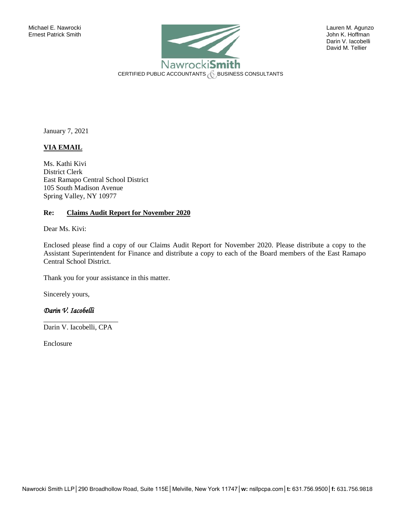

 Darin V. Iacobelli David M. Tellier

January 7, 2021

# **VIA EMAIL**

Ms. Kathi Kivi District Clerk East Ramapo Central School District 105 South Madison Avenue Spring Valley, NY 10977

## **Re: Claims Audit Report for November 2020**

Dear Ms. Kivi:

Enclosed please find a copy of our Claims Audit Report for November 2020. Please distribute a copy to the Assistant Superintendent for Finance and distribute a copy to each of the Board members of the East Ramapo Central School District.

Thank you for your assistance in this matter.

Sincerely yours,

# *Darin V. Iacobelli*

\_\_\_\_\_\_\_\_\_\_\_\_\_\_\_\_\_\_\_\_\_ Darin V. Iacobelli, CPA

Enclosure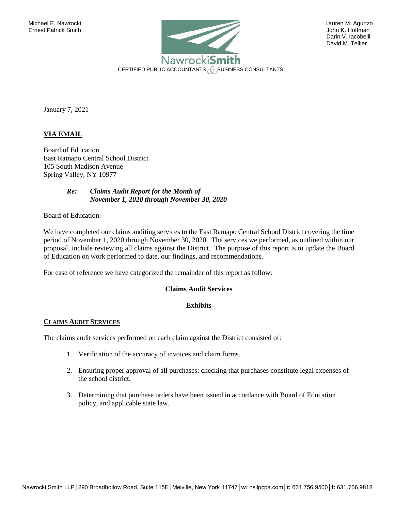

 Darin V. Iacobelli David M. Tellier

January 7, 2021

# **VIA EMAIL**

Board of Education East Ramapo Central School District 105 South Madison Avenue Spring Valley, NY 10977

> *Re: Claims Audit Report for the Month of November 1, 2020 through November 30, 2020*

Board of Education:

We have completed our claims auditing services to the East Ramapo Central School District covering the time period of November 1, 2020 through November 30, 2020. The services we performed, as outlined within our proposal, include reviewing all claims against the District. The purpose of this report is to update the Board of Education on work performed to date, our findings, and recommendations.

For ease of reference we have categorized the remainder of this report as follow:

### **Claims Audit Services**

#### **Exhibits**

#### **CLAIMS AUDIT SERVICES**

The claims audit services performed on each claim against the District consisted of:

- 1. Verification of the accuracy of invoices and claim forms.
- 2. Ensuring proper approval of all purchases; checking that purchases constitute legal expenses of the school district.
- 3. Determining that purchase orders have been issued in accordance with Board of Education policy, and applicable state law.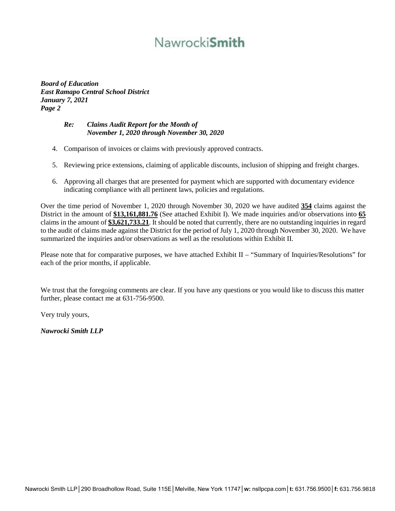# Nawrocki**Smith**

*Board of Education East Ramapo Central School District January 7, 2021 Page 2*

# *Re: Claims Audit Report for the Month of November 1, 2020 through November 30, 2020*

- 4. Comparison of invoices or claims with previously approved contracts.
- 5. Reviewing price extensions, claiming of applicable discounts, inclusion of shipping and freight charges.
- 6. Approving all charges that are presented for payment which are supported with documentary evidence indicating compliance with all pertinent laws, policies and regulations.

Over the time period of November 1, 2020 through November 30, 2020 we have audited **354** claims against the District in the amount of **\$13,161,881.76** (See attached Exhibit I). We made inquiries and/or observations into **65** claims in the amount of **\$3,621,733.21**. It should be noted that currently, there are no outstanding inquiries in regard to the audit of claims made against the District for the period of July 1, 2020 through November 30, 2020. We have summarized the inquiries and/or observations as well as the resolutions within Exhibit II.

Please note that for comparative purposes, we have attached Exhibit II – "Summary of Inquiries/Resolutions" for each of the prior months, if applicable.

We trust that the foregoing comments are clear. If you have any questions or you would like to discuss this matter further, please contact me at 631-756-9500.

Very truly yours,

*Nawrocki Smith LLP*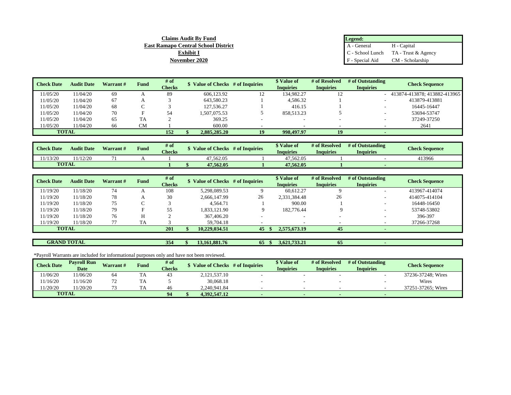| Legend:         |                                                                 |
|-----------------|-----------------------------------------------------------------|
| A - General     | H - Capital                                                     |
|                 | $\int_{0}^{\frac{\pi}{2}} C$ - School Lunch TA - Trust & Agency |
| F - Special Aid | CM - Scholarship                                                |

| <b>Check Date</b> | <b>Audit Date</b> | Warrant # | Fund | # of          | \$ Value of Checks # of Inquiries |    | \$ Value of      | # of Resolved    | # of Outstanding | <b>Check Sequence</b>        |
|-------------------|-------------------|-----------|------|---------------|-----------------------------------|----|------------------|------------------|------------------|------------------------------|
|                   |                   |           |      | <b>Checks</b> |                                   |    | <b>Inquiries</b> | <b>Inquiries</b> | <b>Inquiries</b> |                              |
| 11/05/20          | 11/04/20          | 69        |      | 89            | 606.123.92                        | 12 | 134.982.27       |                  |                  | 413874-413878; 413882-413965 |
| 11/05/20          | 11/04/20          | 67        |      |               | 643,580.23                        |    | 4,586.32         |                  | ۰                | 413879-413881                |
| 11/05/20          | 11/04/20          | 68        |      |               | 127.536.27                        |    | 416.15           |                  |                  | 16445-16447                  |
| 11/05/20          | 11/04/20          | 70        |      | 54            | 1.507.075.53                      |    | 858.513.23       |                  |                  | 53694-53747                  |
| 11/05/20          | 11/04/20          | 65        | TA   |               | 369.25                            |    |                  |                  |                  | 37249-37250                  |
| 11/05/20          | 11/04/20          | 66        | CМ   |               | 600.00                            |    |                  |                  |                  | 2641                         |
| <b>TOTAL</b>      |                   |           |      | 152           | 2,885,285,20                      | 19 | 998,497.97       | 19               |                  |                              |

| <b>Check Date</b> | <b>Audit Date</b> | <b>Warrant</b> # | <b>Fund</b> | # of<br><b>Checks</b> | Value of Checks | # of Inquiries | <sup><i><b>N</b></i></sup> Value of<br>Inquiries | # of Resolved<br>Inquiries | # of Outstanding<br>Inquiries | <b>Check Sequence</b> |
|-------------------|-------------------|------------------|-------------|-----------------------|-----------------|----------------|--------------------------------------------------|----------------------------|-------------------------------|-----------------------|
| 1/13/20           | 1/12/20           | $\sim$           |             |                       | 47.562.05       |                | 47.562.05                                        |                            |                               | 413966                |
| <b>TOTAL</b>      |                   |                  |             |                       | 47.562.05       |                | 47.562.05                                        |                            |                               |                       |

| <b>Check Date</b> | <b>Audit Date</b> | # of<br><b>Fund</b><br>\$ Value of Checks # of Inquiries<br>Warrant # |    |               | \$ Value of   | # of Resolved | # of Outstanding | <b>Check Sequence</b> |                          |               |
|-------------------|-------------------|-----------------------------------------------------------------------|----|---------------|---------------|---------------|------------------|-----------------------|--------------------------|---------------|
|                   |                   |                                                                       |    | <b>Checks</b> |               |               | <b>Inquiries</b> | <b>Inquiries</b>      | <b>Inquiries</b>         |               |
| 11/19/20          | 11/18/20          | 74                                                                    |    | 108           | 5.298.089.53  |               | 60.612.27        |                       | $\overline{\phantom{a}}$ | 413967-414074 |
| 11/19/20          | 11/18/20          | 78                                                                    |    | 30            | 2.666.147.99  | 26            | 2,331,384.48     | 26                    |                          | 414075-414104 |
| 11/19/20          | 11/18/20          | 75                                                                    |    |               | 4.564.71      |               | 900.00           |                       |                          | 16448-16450   |
| 11/19/20          | 11/18/20          | 79                                                                    |    | 55            | 1,833,121.90  |               | 182,776.44       |                       |                          | 53748-53802   |
| 11/19/20          | 11/18/20          | 76                                                                    |    |               | 367,406.20    |               |                  |                       |                          | 396-397       |
| 11/19/20          | 11/18/20          |                                                                       | TA |               | 59,704.18     |               |                  |                       |                          | 37266-37268   |
| <b>TOTAL</b>      |                   |                                                                       |    | 201           | 10.229,034.51 | 45            | 2,575,673.19     | 45                    |                          |               |

**GRAND TOTAL**

**354 \$ 13,161,881.76 65 \$ 3,621,733.21 65 -** 

**Claims Audit By Fund East Ramapo Central School District Exhibit I November 2020**

\*Payroll Warrants are included for informational purposes only and have not been reviewed.

| <b>Check Date</b> | <b>Payroll Run</b> | <b>Warrant#</b> | <b>Fund</b> | # of          | <b>Value of Checks</b> | # of Inquiries | Value of         | # of Resolved | # of Outstanding | <b>Check Sequence</b> |
|-------------------|--------------------|-----------------|-------------|---------------|------------------------|----------------|------------------|---------------|------------------|-----------------------|
|                   | <b>Date</b>        |                 |             | <b>Checks</b> |                        |                | <b>Inquiries</b> | Inauiries     | Inquiries        |                       |
| 1/06/20           | 1/06/20            | 64              |             |               | 2,121,537.10           |                |                  |               |                  | 37236-37248: Wires    |
| 1/16/20           | 11/16/20           | <u>.</u>        | <b>TTA</b>  |               | 30,068.18              |                |                  |               |                  | Wires                 |
| 1/20/20           | 1/20/20            |                 | m a         |               | 2.240.941.84           |                |                  |               |                  | 37251-37265: Wires    |
| <b>TOTAL</b>      |                    |                 |             | 94            | 4.392.547.12           |                |                  |               |                  |                       |